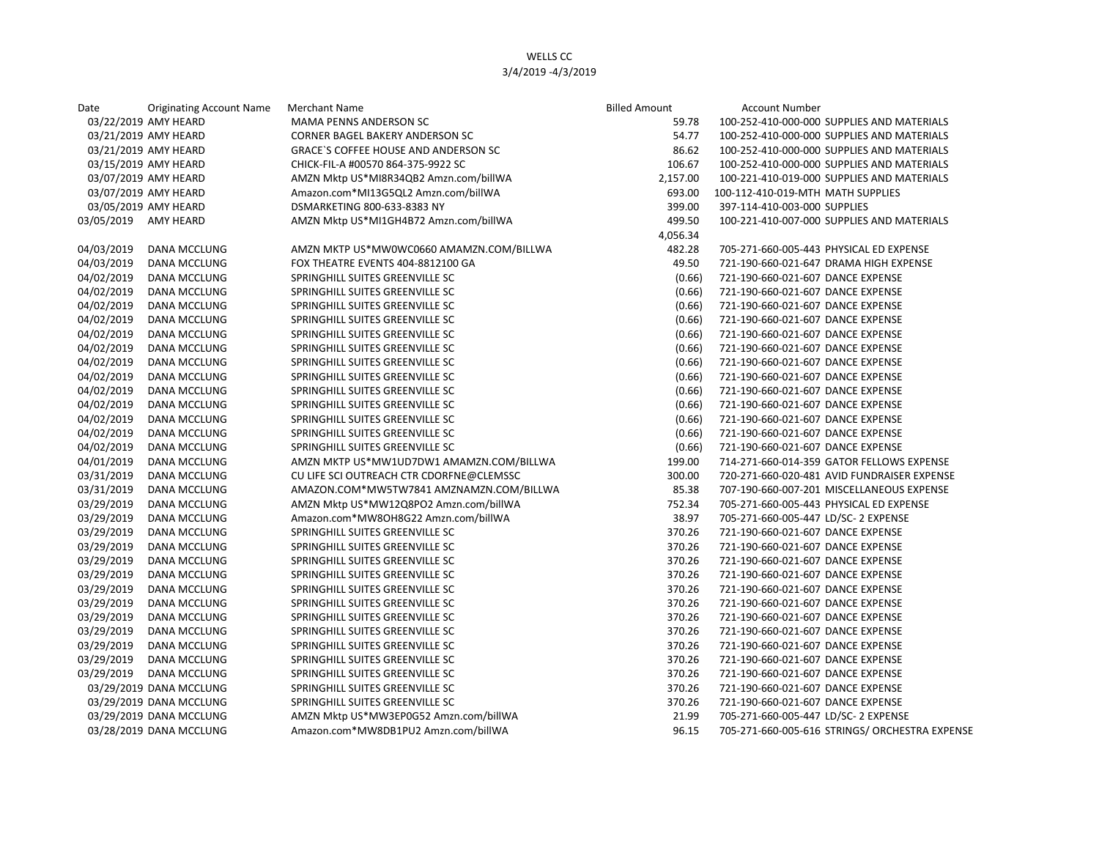| Date                 | <b>Originating Account Name</b> | Merchant Name                            | <b>Billed Amount</b> | <b>Account Number</b>                          |
|----------------------|---------------------------------|------------------------------------------|----------------------|------------------------------------------------|
|                      | 03/22/2019 AMY HEARD            | MAMA PENNS ANDERSON SC                   | 59.78                | 100-252-410-000-000 SUPPLIES AND MATERIALS     |
|                      | 03/21/2019 AMY HEARD            | <b>CORNER BAGEL BAKERY ANDERSON SC</b>   | 54.77                | 100-252-410-000-000 SUPPLIES AND MATERIALS     |
|                      | 03/21/2019 AMY HEARD            | GRACE'S COFFEE HOUSE AND ANDERSON SC     | 86.62                | 100-252-410-000-000 SUPPLIES AND MATERIALS     |
|                      | 03/15/2019 AMY HEARD            | CHICK-FIL-A #00570 864-375-9922 SC       | 106.67               | 100-252-410-000-000 SUPPLIES AND MATERIALS     |
|                      | 03/07/2019 AMY HEARD            | AMZN Mktp US*MI8R34QB2 Amzn.com/billWA   | 2,157.00             | 100-221-410-019-000 SUPPLIES AND MATERIALS     |
|                      | 03/07/2019 AMY HEARD            | Amazon.com*MI13G5QL2 Amzn.com/billWA     | 693.00               | 100-112-410-019-MTH MATH SUPPLIES              |
|                      | 03/05/2019 AMY HEARD            | DSMARKETING 800-633-8383 NY              | 399.00               | 397-114-410-003-000 SUPPLIES                   |
| 03/05/2019 AMY HEARD |                                 | AMZN Mktp US*MI1GH4B72 Amzn.com/billWA   | 499.50               | 100-221-410-007-000 SUPPLIES AND MATERIALS     |
|                      |                                 |                                          | 4,056.34             |                                                |
| 04/03/2019           | <b>DANA MCCLUNG</b>             | AMZN MKTP US*MW0WC0660 AMAMZN.COM/BILLWA | 482.28               | 705-271-660-005-443 PHYSICAL ED EXPENSE        |
| 04/03/2019           | DANA MCCLUNG                    | FOX THEATRE EVENTS 404-8812100 GA        | 49.50                | 721-190-660-021-647 DRAMA HIGH EXPENSE         |
| 04/02/2019           | <b>DANA MCCLUNG</b>             | SPRINGHILL SUITES GREENVILLE SC          | (0.66)               | 721-190-660-021-607 DANCE EXPENSE              |
| 04/02/2019           | DANA MCCLUNG                    | SPRINGHILL SUITES GREENVILLE SC          | (0.66)               | 721-190-660-021-607 DANCE EXPENSE              |
| 04/02/2019           | DANA MCCLUNG                    | SPRINGHILL SUITES GREENVILLE SC          | (0.66)               | 721-190-660-021-607 DANCE EXPENSE              |
| 04/02/2019           | DANA MCCLUNG                    | SPRINGHILL SUITES GREENVILLE SC          | (0.66)               | 721-190-660-021-607 DANCE EXPENSE              |
| 04/02/2019           | DANA MCCLUNG                    | SPRINGHILL SUITES GREENVILLE SC          | (0.66)               | 721-190-660-021-607 DANCE EXPENSE              |
| 04/02/2019           | DANA MCCLUNG                    | SPRINGHILL SUITES GREENVILLE SC          | (0.66)               | 721-190-660-021-607 DANCE EXPENSE              |
| 04/02/2019           | DANA MCCLUNG                    | SPRINGHILL SUITES GREENVILLE SC          | (0.66)               | 721-190-660-021-607 DANCE EXPENSE              |
| 04/02/2019           | DANA MCCLUNG                    | SPRINGHILL SUITES GREENVILLE SC          | (0.66)               | 721-190-660-021-607 DANCE EXPENSE              |
| 04/02/2019           | DANA MCCLUNG                    | SPRINGHILL SUITES GREENVILLE SC          | (0.66)               | 721-190-660-021-607 DANCE EXPENSE              |
| 04/02/2019           | DANA MCCLUNG                    | SPRINGHILL SUITES GREENVILLE SC          | (0.66)               | 721-190-660-021-607 DANCE EXPENSE              |
| 04/02/2019           | DANA MCCLUNG                    | SPRINGHILL SUITES GREENVILLE SC          | (0.66)               | 721-190-660-021-607 DANCE EXPENSE              |
| 04/02/2019           | DANA MCCLUNG                    | SPRINGHILL SUITES GREENVILLE SC          | (0.66)               | 721-190-660-021-607 DANCE EXPENSE              |
| 04/02/2019           | DANA MCCLUNG                    | SPRINGHILL SUITES GREENVILLE SC          | (0.66)               | 721-190-660-021-607 DANCE EXPENSE              |
| 04/01/2019           | DANA MCCLUNG                    | AMZN MKTP US*MW1UD7DW1 AMAMZN.COM/BILLWA | 199.00               | 714-271-660-014-359 GATOR FELLOWS EXPENSE      |
| 03/31/2019           | DANA MCCLUNG                    | CU LIFE SCI OUTREACH CTR CDORFNE@CLEMSSC | 300.00               | 720-271-660-020-481 AVID FUNDRAISER EXPENSE    |
| 03/31/2019           | DANA MCCLUNG                    | AMAZON.COM*MW5TW7841 AMZNAMZN.COM/BILLWA | 85.38                | 707-190-660-007-201 MISCELLANEOUS EXPENSE      |
| 03/29/2019           | DANA MCCLUNG                    | AMZN Mktp US*MW12Q8PO2 Amzn.com/billWA   | 752.34               | 705-271-660-005-443 PHYSICAL ED EXPENSE        |
| 03/29/2019           | DANA MCCLUNG                    | Amazon.com*MW8OH8G22 Amzn.com/billWA     | 38.97                | 705-271-660-005-447 LD/SC- 2 EXPENSE           |
| 03/29/2019           | DANA MCCLUNG                    | SPRINGHILL SUITES GREENVILLE SC          | 370.26               | 721-190-660-021-607 DANCE EXPENSE              |
| 03/29/2019           | DANA MCCLUNG                    | SPRINGHILL SUITES GREENVILLE SC          | 370.26               | 721-190-660-021-607 DANCE EXPENSE              |
| 03/29/2019           | DANA MCCLUNG                    | SPRINGHILL SUITES GREENVILLE SC          | 370.26               | 721-190-660-021-607 DANCE EXPENSE              |
| 03/29/2019           | DANA MCCLUNG                    | SPRINGHILL SUITES GREENVILLE SC          | 370.26               | 721-190-660-021-607 DANCE EXPENSE              |
| 03/29/2019           | DANA MCCLUNG                    | SPRINGHILL SUITES GREENVILLE SC          | 370.26               | 721-190-660-021-607 DANCE EXPENSE              |
| 03/29/2019           | DANA MCCLUNG                    | SPRINGHILL SUITES GREENVILLE SC          | 370.26               | 721-190-660-021-607 DANCE EXPENSE              |
| 03/29/2019           | DANA MCCLUNG                    | SPRINGHILL SUITES GREENVILLE SC          | 370.26               | 721-190-660-021-607 DANCE EXPENSE              |
| 03/29/2019           | DANA MCCLUNG                    | SPRINGHILL SUITES GREENVILLE SC          | 370.26               | 721-190-660-021-607 DANCE EXPENSE              |
| 03/29/2019           | DANA MCCLUNG                    | SPRINGHILL SUITES GREENVILLE SC          | 370.26               | 721-190-660-021-607 DANCE EXPENSE              |
| 03/29/2019           | DANA MCCLUNG                    | SPRINGHILL SUITES GREENVILLE SC          | 370.26               | 721-190-660-021-607 DANCE EXPENSE              |
| 03/29/2019           | DANA MCCLUNG                    | SPRINGHILL SUITES GREENVILLE SC          | 370.26               | 721-190-660-021-607 DANCE EXPENSE              |
|                      | 03/29/2019 DANA MCCLUNG         | SPRINGHILL SUITES GREENVILLE SC          | 370.26               | 721-190-660-021-607 DANCE EXPENSE              |
|                      | 03/29/2019 DANA MCCLUNG         | SPRINGHILL SUITES GREENVILLE SC          | 370.26               | 721-190-660-021-607 DANCE EXPENSE              |
|                      | 03/29/2019 DANA MCCLUNG         | AMZN Mktp US*MW3EP0G52 Amzn.com/billWA   | 21.99                | 705-271-660-005-447 LD/SC- 2 EXPENSE           |
|                      | 03/28/2019 DANA MCCLUNG         | Amazon.com*MW8DB1PU2 Amzn.com/billWA     | 96.15                | 705-271-660-005-616 STRINGS/ ORCHESTRA EXPENSE |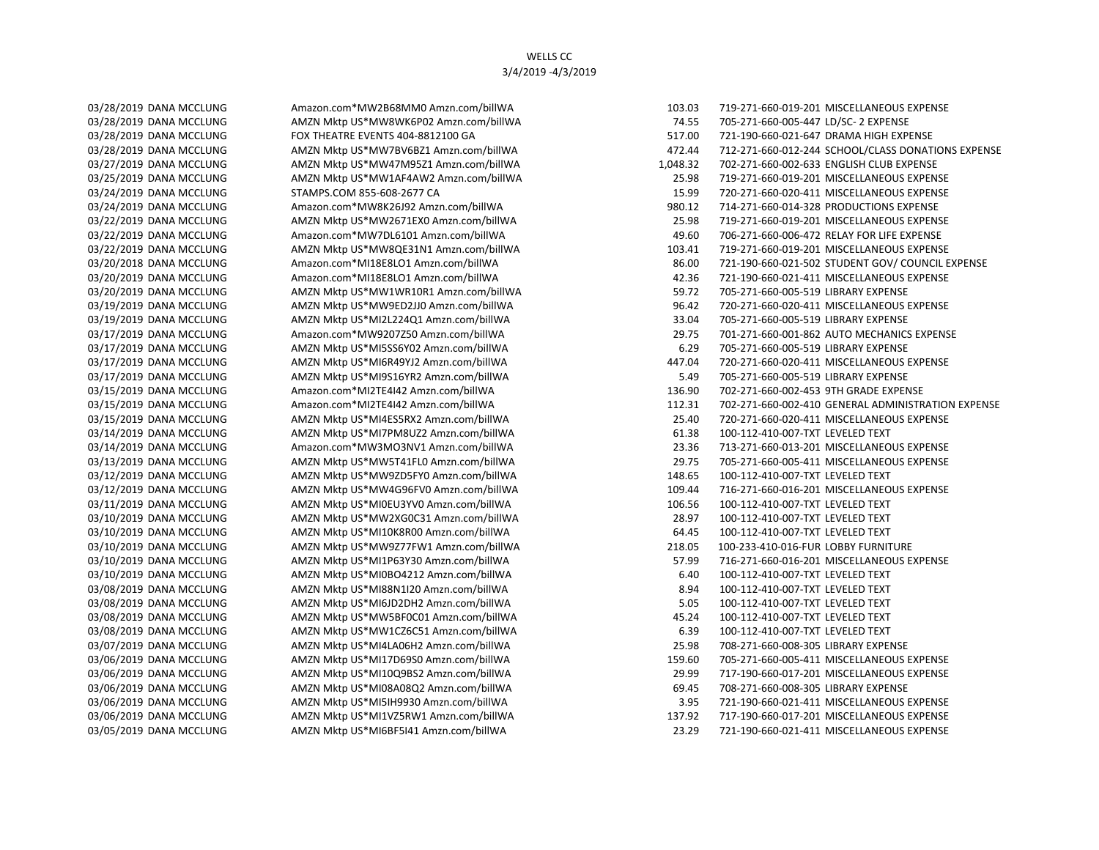03/14/2019 DANA MCCLUNG AMZN Mktp US\*MI7PM8UZ2 Amzn.com/billWA 61.38 100-112-410-007-TXT LEVELED TEXT 03/12/2019 DANA MCCLUNG AMZN Mktp US\*MW9ZD5FY0 Amzn.com/billWA 148.65 100-112-410-007-TXT LEVELED TEXT 03/11/2019 DANA MCCLUNG AMZN Mktp US\*MI0EU3YV0 Amzn.com/billWA 106.56 100-112-410-007-TXT LEVELED TEXT 03/10/2019 DANA MCCLUNG AMZN Mktp US\*MW2XG0C31 Amzn.com/billWA 28.97 100-112-410-007-TXT LEVELED TEXT 03/10/2019 DANA MCCLUNG AMZN Mktp US\*MI10K8R00 Amzn.com/billWA 64.45 100-112-410-007-TXT LEVELED TEXT 03/10/2019 DANA MCCLUNG AMZN Mktp US\*MI0BO4212 Amzn.com/billWA 6.40 100-112-410-007-TXT LEVELED TEXT 03/08/2019 DANA MCCLUNG AMZN Mktp US\*MI88N1I20 Amzn.com/billWA 8.94 100-112-410-007-TXT LEVELED TEXT 03/08/2019 DANA MCCLUNG AMZN Mktp US\*MI6JD2DH2 Amzn.com/billWA 5.05 100-112-410-007-TXT LEVELED TEXT 03/08/2019 DANA MCCLUNG AMZN Mktp US\*MW5BF0C01 Amzn.com/billWA 45.24 100-112-410-007-TXT LEVELED TEXT 03/08/2019 DANA MCCLUNG AMZN Mktp US\*MW1CZ6C51 Amzn.com/billWA 6.39 100-112-410-007-TXT LEVELED TEXT

03/28/2019 DANA MCCLUNG Amazon.com\*MW2B68MM0 Amzn.com/billWA 103.03 719-271-660-019-201 MISCELLANEOUS EXPENSE 03/28/2019 DANA MCCLUNG AMZN Mktp US\*MW8WK6P02 Amzn.com/billWA 74.55 705-271-660-005-447 LD/SC- 2 EXPENSE 03/28/2019 DANA MCCLUNG FOX THEATRE EVENTS 404-8812100 GA 517.00 517.00 721-190-660-021-647 DRAMA HIGH EXPENSE 03/28/2019 DANA MCCLUNG AMZN Mktp US\*MW7BV6BZ1 Amzn.com/billWA 472 472.44 712-271-660-012-244 SCHOOL/CLASS DONATIONS EXPENSE 03/27/2019 DANA MCCLUNG AMZN Mktp US\*MW47M95Z1 Amzn.com/billWA 1,048.32 702-271-660-002-633 ENGLISH CLUB EXPENSE 03/25/2019 DANA MCCLUNG AMZN Mktp US\*MW1AF4AW2 Amzn.com/billWA 25.98 719-271-660-019-201 MISCELLANEOUS EXPENSE 03/24/2019 DANA MCCLUNG STAMPS.COM 855-608-2677 CA 15.99 15.99 720-271-660-020-411 MISCELLANEOUS EXPENSE 03/24/2019 DANA MCCLUNG Amazon.com\*MW8K26J92 Amzn.com/billWA 980.12 714-271-660-014-328 PRODUCTIONS EXPENSE 03/22/2019 DANA MCCLUNG AMZN Mktp US\*MW2671EX0 Amzn.com/billWA 25.98 719-271-660-019-201 MISCELLANEOUS EXPENSE 03/22/2019 DANA MCCLUNG Amazon.com\*MW7DL6101 Amzn.com/billWA 49.60 706-271-660-006-472 RELAY FOR LIFE EXPENSE 03/22/2019 DANA MCCLUNG AMZN Mktp US\*MW8QE31N1 Amzn.com/billWA 103.41 719-271-660-019-201 MISCELLANEOUS EXPENSE 03/20/2018 DANA MCCLUNG Amazon.com\*MI18E8LO1 Amzn.com/billWA 86.00 721-190-660-021-502 STUDENT GOV/ COUNCIL EXPENSE 03/20/2019 DANA MCCLUNG Amazon.com\*MI18E8LO1 Amzn.com/billWA 42.36 721-190-660-021-411 MISCELLANEOUS EXPENSE 03/20/2019 DANA MCCLUNG AMZN Mktp US\*MW1WR10R1 Amzn.com/billWA 59.72 705-271-660-005-519 LIBRARY EXPENSE 03/19/2019 DANA MCCLUNG AMZN Mktp US\*MW9ED2JJ0 Amzn.com/billWA 96.42 720-271-660-020-411 MISCELLANEOUS EXPENSE 03/19/2019 DANA MCCLUNG AMZN Mktp US\*MI2L224Q1 Amzn.com/billWA 33.04 705-271-660-005-519 LIBRARY EXPENSE 03/17/2019 DANA MCCLUNG Amazon.com\*MW9207Z50 Amzn.com/billWA 29.75 701-271-660-001-862 AUTO MECHANICS EXPENSE 03/17/2019 DANA MCCLUNG AMZN Mktp US\*MI5SS6Y02 Amzn.com/billWA 6.29 6.29 705-271-660-005-519 LIBRARY EXPENSE 03/17/2019 DANA MCCLUNG AMZN Mktp US\*MI6R49YJ2 Amzn.com/billWA 447.04 720-271-660-020-411 MISCELLANEOUS EXPENSE 03/17/2019 DANA MCCLUNG AMZN Mktp US\*MI9S16YR2 Amzn.com/billWA 5.49 705-271-660-005-519 LIBRARY EXPENSE 03/15/2019 DANA MCCLUNG Amazon.com\*MI2TE4I42 Amzn.com/billWA 136.90 702-271-660-002-453 9TH GRADE EXPENSE 03/15/2019 DANA MCCLUNG Amazon.com\*MI2TE4I42 Amzn.com/billWA 112.31 702-271-660-002-410 GENERAL ADMINISTRATION EXPENSE 03/15/2019 DANA MCCLUNG AMZN Mktp US\*MI4ES5RX2 Amzn.com/billWA 25.40 720-271-660-020-411 MISCELLANEOUS EXPENSE 03/14/2019 DANA MCCLUNG Amazon.com\*MW3MO3NV1 Amzn.com/billWA 23.36 713-271-660-013-201 MISCELLANEOUS EXPENSE 03/13/2019 DANA MCCLUNG AMZN Mktp US\*MW5T41FL0 Amzn.com/billWA 29.75 705-271-660-005-411 MISCELLANEOUS EXPENSE 03/12/2019 DANA MCCLUNG AMZN Mktp US\*MW4G96FV0 Amzn.com/billWA 109.44 716-271-660-016-201 MISCELLANEOUS EXPENSE 03/10/2019 DANA MCCLUNG AMZN Mktp US\*MW9Z77FW1 Amzn.com/billWA 218.05 218.05 100-233-410-016-FUR LOBBY FURNITURE 03/10/2019 DANA MCCLUNG AMZN Mktp US\*MI1P63Y30 Amzn.com/billWA 57.99 716-271-660-016-201 MISCELLANEOUS EXPENSE 03/07/2019 DANA MCCLUNG AMZN Mktp US\*MI4LA06H2 Amzn.com/billWA 25.98 708-271-660-008-305 LIBRARY EXPENSE 03/06/2019 DANA MCCLUNG AMZN Mktp US\*MI17D69S0 Amzn.com/billWA 159.60 705-271-660-005-411 MISCELLANEOUS EXPENSE 03/06/2019 DANA MCCLUNG AMZN Mktp US\*MI10Q9BS2 Amzn.com/billWA 29.99 717-190-660-017-201 MISCELLANEOUS EXPENSE 03/06/2019 DANA MCCLUNG AMZN Mktp US\*MI08A08Q2 Amzn.com/billWA 69.45 708-271-660-008-305 LIBRARY EXPENSE 03/06/2019 DANA MCCLUNG AMZN Mktp US\*MI5IH9930 Amzn.com/billWA 3.95 721-190-660-021-411 MISCELLANEOUS EXPENSE 03/06/2019 DANA MCCLUNG AMZN Mktp US\*MI1VZ5RW1 Amzn.com/billWA 137.92 717-190-660-017-201 MISCELLANEOUS EXPENSE 03/05/2019 DANA MCCLUNG AMZN Mktp US\*MI6BF5I41 Amzn.com/billWA 23.29 721-190-660-021-411 MISCELLANEOUS EXPENSE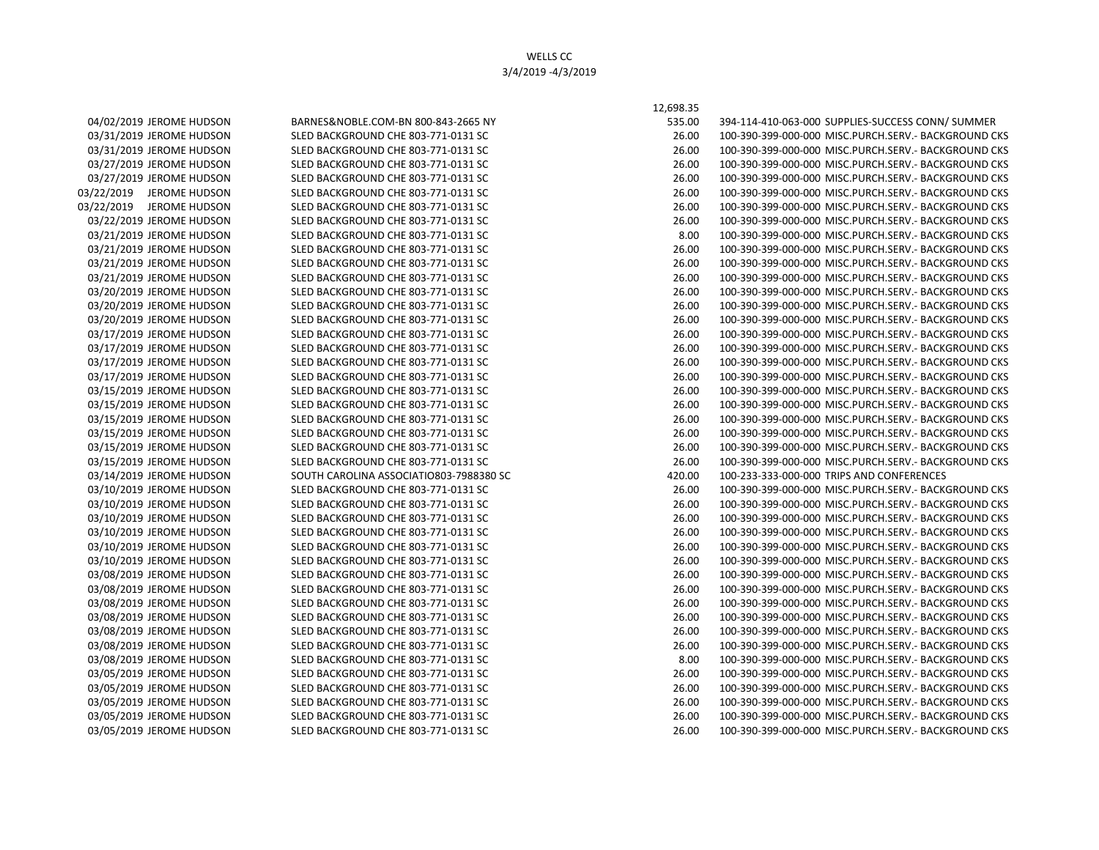03/05/2019 JEROME HUDSON SLED BACKGROUND CHE 803-771-0131 SC

04/02/2019 JEROME HUDSON BARNES&NOBLE.COM-BN 800-843-2665 NY 53 03/31/2019 JEROME HUDSON SLED BACKGROUND CHE 803-771-0131 SC 03/31/2019 JEROME HUDSON SLED BACKGROUND CHE 803-771-0131 SC 03/27/2019 JEROME HUDSON SLED BACKGROUND CHE 803-771-0131 SC 03/27/2019 JEROME HUDSON SLED BACKGROUND CHE 803-771-0131 SC 03/22/2019 JEROME HUDSON SLED BACKGROUND CHE 803-771-0131 SC 03/22/2019 JEROME HUDSON SLED BACKGROUND CHE 803-771-0131 SC 03/22/2019 JEROME HUDSON SLED BACKGROUND CHE 803-771-0131 SC 03/21/2019 JEROME HUDSON SLED BACKGROUND CHE 803-771-0131 SC 03/21/2019 JEROME HUDSON SLED BACKGROUND CHE 803-771-0131 SC 03/21/2019 JEROME HUDSON SLED BACKGROUND CHE 803-771-0131 SC 03/21/2019 JEROME HUDSON SLED BACKGROUND CHE 803-771-0131 SC 03/20/2019 JEROME HUDSON SLED BACKGROUND CHE 803-771-0131 SC 03/20/2019 JEROME HUDSON SLED BACKGROUND CHE 803-771-0131 SC 03/20/2019 JEROME HUDSON SLED BACKGROUND CHE 803-771-0131 SC 03/17/2019 JEROME HUDSON SLED BACKGROUND CHE 803-771-0131 SC 03/17/2019 JEROME HUDSON SLED BACKGROUND CHE 803-771-0131 SC 03/17/2019 JEROME HUDSON SLED BACKGROUND CHE 803-771-0131 SC 03/17/2019 JEROME HUDSON SLED BACKGROUND CHE 803-771-0131 SC 03/15/2019 JEROME HUDSON SLED BACKGROUND CHE 803-771-0131 SC 03/15/2019 JEROME HUDSON SLED BACKGROUND CHE 803-771-0131 SC 03/15/2019 JEROME HUDSON SLED BACKGROUND CHE 803-771-0131 SC 03/15/2019 JEROME HUDSON SLED BACKGROUND CHE 803-771-0131 SC 03/15/2019 JEROME HUDSON SLED BACKGROUND CHE 803-771-0131 SC 03/15/2019 JEROME HUDSON SLED BACKGROUND CHE 803-771-0131 SC 03/14/2019 JEROME HUDSON SOUTH CAROLINA ASSOCIATIO803-7988380 SC 420.000 100-233-233-000-0000-000-0000-0000-00 03/10/2019 JEROME HUDSON SLED BACKGROUND CHE 803-771-0131 SC 03/10/2019 JEROME HUDSON SLED BACKGROUND CHE 803-771-0131 SC 03/10/2019 JEROME HUDSON SLED BACKGROUND CHE 803-771-0131 SC 03/10/2019 JEROME HUDSON SLED BACKGROUND CHE 803-771-0131 SC 03/10/2019 JEROME HUDSON SLED BACKGROUND CHE 803-771-0131 SC 03/10/2019 JEROME HUDSON SLED BACKGROUND CHE 803-771-0131 SC 03/08/2019 JEROME HUDSON SLED BACKGROUND CHE 803-771-0131 SC 03/08/2019 JEROME HUDSON SLED BACKGROUND CHE 803-771-0131 SC 03/08/2019 JEROME HUDSON SLED BACKGROUND CHE 803-771-0131 SC 03/08/2019 JEROME HUDSON SLED BACKGROUND CHE 803-771-0131 SC 03/08/2019 JEROME HUDSON SLED BACKGROUND CHE 803-771-0131 SC 03/08/2019 JEROME HUDSON SLED BACKGROUND CHE 803-771-0131 SC 03/08/2019 JEROME HUDSON SLED BACKGROUND CHE 803-771-0131 SC 03/05/2019 JEROME HUDSON SLED BACKGROUND CHE 803-771-0131 SC 03/05/2019 JEROME HUDSON SLED BACKGROUND CHE 803-771-0131 SC 03/05/2019 JEROME HUDSON SLED BACKGROUND CHE 803-771-0131 SC 03/05/2019 JEROME HUDSON SLED BACKGROUND CHE 803-771-0131 SC

12,698.35

| 35.00 | 394-114-410-063-000 SUPPLIES-SUCCESS CONN/ SUMMER    |
|-------|------------------------------------------------------|
| 26.00 | 100-390-399-000-000 MISC.PURCH.SERV.- BACKGROUND CKS |
| 26.00 | 100-390-399-000-000 MISC.PURCH.SERV.- BACKGROUND CKS |
| 26.00 | 100-390-399-000-000 MISC.PURCH.SERV.- BACKGROUND CKS |
| 26.00 | 100-390-399-000-000 MISC.PURCH.SERV.- BACKGROUND CKS |
| 26.00 | 100-390-399-000-000 MISC.PURCH.SERV.- BACKGROUND CKS |
| 26.00 | 100-390-399-000-000 MISC.PURCH.SERV.- BACKGROUND CKS |
| 26.00 | 100-390-399-000-000 MISC.PURCH.SERV.- BACKGROUND CKS |
| 8.00  | 100-390-399-000-000 MISC.PURCH.SERV.- BACKGROUND CKS |
| 26.00 | 100-390-399-000-000 MISC.PURCH.SERV.- BACKGROUND CKS |
| 26.00 | 100-390-399-000-000 MISC.PURCH.SERV.- BACKGROUND CKS |
| 26.00 | 100-390-399-000-000 MISC.PURCH.SERV.- BACKGROUND CKS |
| 26.00 | 100-390-399-000-000 MISC.PURCH.SERV.- BACKGROUND CKS |
| 26.00 | 100-390-399-000-000 MISC.PURCH.SERV.- BACKGROUND CKS |
| 26.00 | 100-390-399-000-000 MISC.PURCH.SERV.- BACKGROUND CKS |
| 26.00 | 100-390-399-000-000 MISC.PURCH.SERV.- BACKGROUND CKS |
| 26.00 | 100-390-399-000-000 MISC.PURCH.SERV.- BACKGROUND CKS |
| 26.00 | 100-390-399-000-000 MISC.PURCH.SERV.- BACKGROUND CKS |
| 26.00 | 100-390-399-000-000 MISC.PURCH.SERV.- BACKGROUND CKS |
| 26.00 | 100-390-399-000-000 MISC.PURCH.SERV.- BACKGROUND CKS |
| 26.00 | 100-390-399-000-000 MISC.PURCH.SERV.- BACKGROUND CKS |
| 26.00 | 100-390-399-000-000 MISC.PURCH.SERV.- BACKGROUND CKS |
| 26.00 | 100-390-399-000-000 MISC.PURCH.SERV.- BACKGROUND CKS |
| 26.00 | 100-390-399-000-000 MISC.PURCH.SERV.- BACKGROUND CKS |
| 26.00 | 100-390-399-000-000 MISC.PURCH.SERV.- BACKGROUND CKS |
| 20.00 | 100-233-333-000-000 TRIPS AND CONFERENCES            |
| 26.00 | 100-390-399-000-000 MISC.PURCH.SERV.- BACKGROUND CKS |
| 26.00 | 100-390-399-000-000 MISC.PURCH.SERV.- BACKGROUND CKS |
| 26.00 | 100-390-399-000-000 MISC.PURCH.SERV.- BACKGROUND CKS |
| 26.00 | 100-390-399-000-000 MISC.PURCH.SERV.- BACKGROUND CKS |
| 26.00 | 100-390-399-000-000 MISC.PURCH.SERV.- BACKGROUND CKS |
| 26.00 | 100-390-399-000-000 MISC.PURCH.SERV.- BACKGROUND CKS |
| 26.00 | 100-390-399-000-000 MISC.PURCH.SERV.- BACKGROUND CKS |
| 26.00 | 100-390-399-000-000 MISC.PURCH.SERV.- BACKGROUND CKS |
| 26.00 | 100-390-399-000-000 MISC.PURCH.SERV.- BACKGROUND CKS |
| 26.00 | 100-390-399-000-000 MISC.PURCH.SERV.- BACKGROUND CKS |
| 26.00 | 100-390-399-000-000 MISC.PURCH.SERV.- BACKGROUND CKS |
| 26.00 | 100-390-399-000-000 MISC.PURCH.SERV.- BACKGROUND CKS |
| 8.00  | 100-390-399-000-000 MISC.PURCH.SERV.- BACKGROUND CKS |
| 26.00 | 100-390-399-000-000 MISC.PURCH.SERV.- BACKGROUND CKS |
| 26.00 | 100-390-399-000-000 MISC.PURCH.SERV.- BACKGROUND CKS |
| 26.00 | 100-390-399-000-000 MISC.PURCH.SERV.- BACKGROUND CKS |
| 26.00 | 100-390-399-000-000 MISC.PURCH.SERV.- BACKGROUND CKS |
| 26.00 | 100-390-399-000-000 MISC.PURCH.SERV.- BACKGROUND CKS |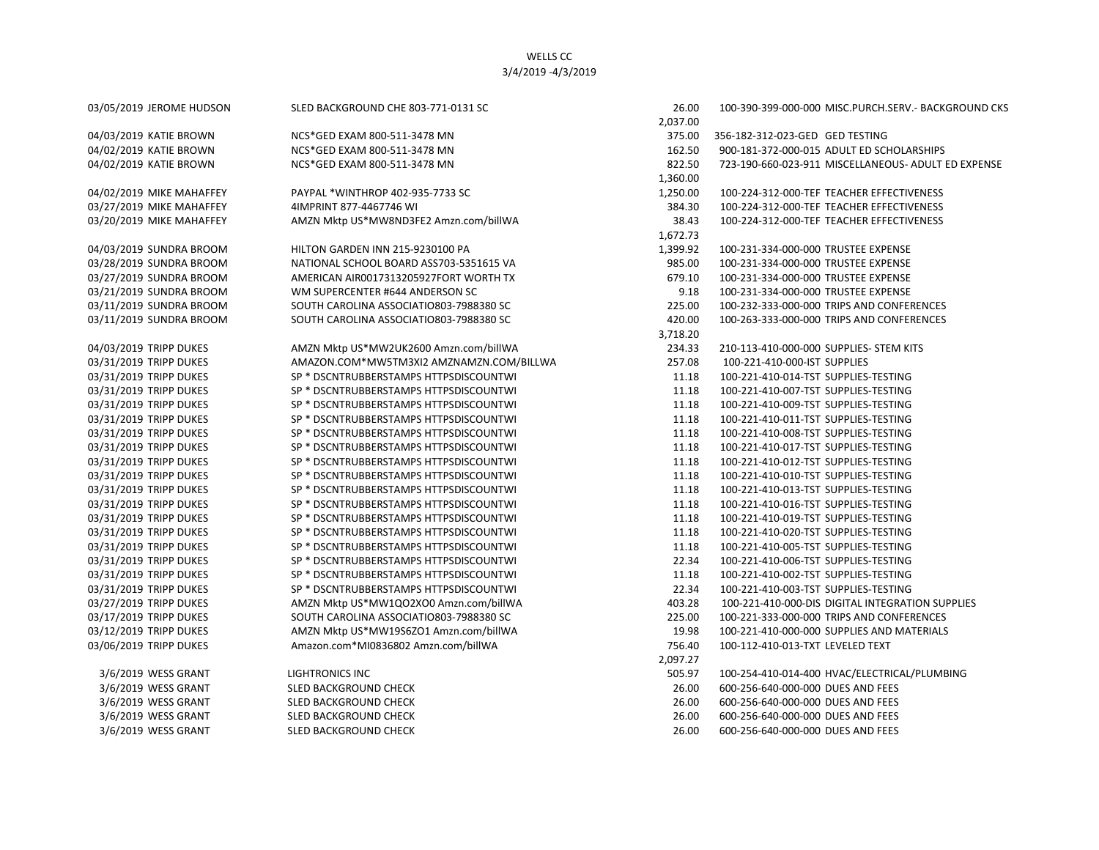| 03/05/2019 JEROME HUDSON | SLED BACKGROUND CHE 803-771-0131 SC      | 26.00    | 100-390-399-000-000 MISC.PURCH.SERV.- BACKGROUND CKS |
|--------------------------|------------------------------------------|----------|------------------------------------------------------|
|                          |                                          | 2,037.00 |                                                      |
| 04/03/2019 KATIE BROWN   | NCS*GED EXAM 800-511-3478 MN             | 375.00   | 356-182-312-023-GED GED TESTING                      |
| 04/02/2019 KATIE BROWN   | NCS*GED EXAM 800-511-3478 MN             | 162.50   | 900-181-372-000-015 ADULT ED SCHOLARSHIPS            |
| 04/02/2019 KATIE BROWN   | NCS*GED EXAM 800-511-3478 MN             | 822.50   | 723-190-660-023-911 MISCELLANEOUS- ADULT ED EXPENSE  |
|                          |                                          | 1,360.00 |                                                      |
| 04/02/2019 MIKE MAHAFFEY | PAYPAL *WINTHROP 402-935-7733 SC         | 1,250.00 | 100-224-312-000-TEF TEACHER EFFECTIVENESS            |
| 03/27/2019 MIKE MAHAFFEY | 4IMPRINT 877-4467746 WI                  | 384.30   | 100-224-312-000-TEF TEACHER EFFECTIVENESS            |
| 03/20/2019 MIKE MAHAFFEY | AMZN Mktp US*MW8ND3FE2 Amzn.com/billWA   | 38.43    | 100-224-312-000-TEF TEACHER EFFECTIVENESS            |
|                          |                                          | 1,672.73 |                                                      |
| 04/03/2019 SUNDRA BROOM  | HILTON GARDEN INN 215-9230100 PA         | 1,399.92 | 100-231-334-000-000 TRUSTEE EXPENSE                  |
| 03/28/2019 SUNDRA BROOM  | NATIONAL SCHOOL BOARD ASS703-5351615 VA  | 985.00   | 100-231-334-000-000 TRUSTEE EXPENSE                  |
| 03/27/2019 SUNDRA BROOM  | AMERICAN AIR0017313205927FORT WORTH TX   | 679.10   | 100-231-334-000-000 TRUSTEE EXPENSE                  |
| 03/21/2019 SUNDRA BROOM  | WM SUPERCENTER #644 ANDERSON SC          | 9.18     | 100-231-334-000-000 TRUSTEE EXPENSE                  |
| 03/11/2019 SUNDRA BROOM  | SOUTH CAROLINA ASSOCIATIO803-7988380 SC  | 225.00   | 100-232-333-000-000 TRIPS AND CONFERENCES            |
| 03/11/2019 SUNDRA BROOM  | SOUTH CAROLINA ASSOCIATIO803-7988380 SC  | 420.00   | 100-263-333-000-000 TRIPS AND CONFERENCES            |
|                          |                                          | 3,718.20 |                                                      |
| 04/03/2019 TRIPP DUKES   | AMZN Mktp US*MW2UK2600 Amzn.com/billWA   | 234.33   | 210-113-410-000-000 SUPPLIES- STEM KITS              |
| 03/31/2019 TRIPP DUKES   | AMAZON.COM*MW5TM3XI2 AMZNAMZN.COM/BILLWA | 257.08   | 100-221-410-000-IST SUPPLIES                         |
| 03/31/2019 TRIPP DUKES   | SP * DSCNTRUBBERSTAMPS HTTPSDISCOUNTWI   | 11.18    | 100-221-410-014-TST SUPPLIES-TESTING                 |
| 03/31/2019 TRIPP DUKES   | SP * DSCNTRUBBERSTAMPS HTTPSDISCOUNTWI   | 11.18    | 100-221-410-007-TST SUPPLIES-TESTING                 |
| 03/31/2019 TRIPP DUKES   | SP * DSCNTRUBBERSTAMPS HTTPSDISCOUNTWI   | 11.18    | 100-221-410-009-TST SUPPLIES-TESTING                 |
| 03/31/2019 TRIPP DUKES   | SP * DSCNTRUBBERSTAMPS HTTPSDISCOUNTWI   | 11.18    | 100-221-410-011-TST SUPPLIES-TESTING                 |
| 03/31/2019 TRIPP DUKES   | SP * DSCNTRUBBERSTAMPS HTTPSDISCOUNTWI   | 11.18    | 100-221-410-008-TST SUPPLIES-TESTING                 |
| 03/31/2019 TRIPP DUKES   | SP * DSCNTRUBBERSTAMPS HTTPSDISCOUNTWI   | 11.18    | 100-221-410-017-TST SUPPLIES-TESTING                 |
| 03/31/2019 TRIPP DUKES   | SP * DSCNTRUBBERSTAMPS HTTPSDISCOUNTWI   | 11.18    | 100-221-410-012-TST SUPPLIES-TESTING                 |
| 03/31/2019 TRIPP DUKES   | SP * DSCNTRUBBERSTAMPS HTTPSDISCOUNTWI   | 11.18    | 100-221-410-010-TST SUPPLIES-TESTING                 |
| 03/31/2019 TRIPP DUKES   | SP * DSCNTRUBBERSTAMPS HTTPSDISCOUNTWI   | 11.18    | 100-221-410-013-TST SUPPLIES-TESTING                 |
| 03/31/2019 TRIPP DUKES   | SP * DSCNTRUBBERSTAMPS HTTPSDISCOUNTWI   | 11.18    | 100-221-410-016-TST SUPPLIES-TESTING                 |
| 03/31/2019 TRIPP DUKES   | SP * DSCNTRUBBERSTAMPS HTTPSDISCOUNTWI   | 11.18    | 100-221-410-019-TST SUPPLIES-TESTING                 |
| 03/31/2019 TRIPP DUKES   | SP * DSCNTRUBBERSTAMPS HTTPSDISCOUNTWI   | 11.18    | 100-221-410-020-TST SUPPLIES-TESTING                 |
| 03/31/2019 TRIPP DUKES   | SP * DSCNTRUBBERSTAMPS HTTPSDISCOUNTWI   | 11.18    | 100-221-410-005-TST SUPPLIES-TESTING                 |
| 03/31/2019 TRIPP DUKES   | SP * DSCNTRUBBERSTAMPS HTTPSDISCOUNTWI   | 22.34    | 100-221-410-006-TST SUPPLIES-TESTING                 |
| 03/31/2019 TRIPP DUKES   | SP * DSCNTRUBBERSTAMPS HTTPSDISCOUNTWI   | 11.18    | 100-221-410-002-TST SUPPLIES-TESTING                 |
| 03/31/2019 TRIPP DUKES   | SP * DSCNTRUBBERSTAMPS HTTPSDISCOUNTWI   | 22.34    | 100-221-410-003-TST SUPPLIES-TESTING                 |
| 03/27/2019 TRIPP DUKES   | AMZN Mktp US*MW1QO2XO0 Amzn.com/billWA   | 403.28   | 100-221-410-000-DIS DIGITAL INTEGRATION SUPPLIES     |
| 03/17/2019 TRIPP DUKES   | SOUTH CAROLINA ASSOCIATIO803-7988380 SC  | 225.00   | 100-221-333-000-000 TRIPS AND CONFERENCES            |
| 03/12/2019 TRIPP DUKES   | AMZN Mktp US*MW19S6ZO1 Amzn.com/billWA   | 19.98    | 100-221-410-000-000 SUPPLIES AND MATERIALS           |
| 03/06/2019 TRIPP DUKES   | Amazon.com*MI0836802 Amzn.com/billWA     | 756.40   | 100-112-410-013-TXT LEVELED TEXT                     |
|                          |                                          | 2,097.27 |                                                      |
| 3/6/2019 WESS GRANT      | <b>LIGHTRONICS INC</b>                   | 505.97   | 100-254-410-014-400 HVAC/ELECTRICAL/PLUMBING         |
| 3/6/2019 WESS GRANT      | SLED BACKGROUND CHECK                    | 26.00    | 600-256-640-000-000 DUES AND FEES                    |
| 3/6/2019 WESS GRANT      | SLED BACKGROUND CHECK                    | 26.00    | 600-256-640-000-000 DUES AND FEES                    |
| 3/6/2019 WESS GRANT      | <b>SLED BACKGROUND CHECK</b>             | 26.00    | 600-256-640-000-000 DUES AND FEES                    |
| 3/6/2019 WESS GRANT      | <b>SLED BACKGROUND CHECK</b>             | 26.00    | 600-256-640-000-000 DUES AND FEES                    |